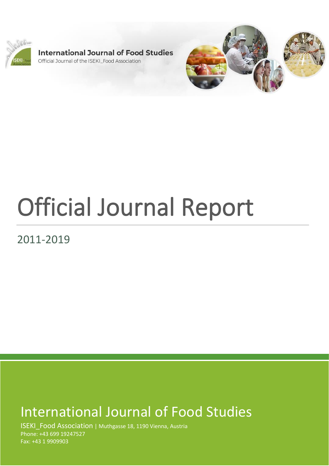

**International Journal of Food Studies** Official Journal of the ISEKI Food Association



# Official Journal Report

2011-2019

# International Journal of Food Studies

ISEKI\_Food Association | Muthgasse 18, 1190 Vienna, Austria Phone: +43 699 19247527 Fax: +43 1 9909903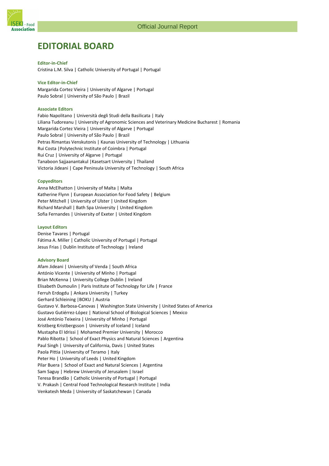

# **EDITORIAL BOARD**

**Editor-in-Chief** Cristina L.M. Silva | Catholic University of Portugal | Portugal

**Vice Editor-in-Chief**  Margarida Cortez Vieira | University of Algarve | Portugal Paulo Sobral | University of São Paulo | Brazil

#### **Associate Editors**

Fabio Napolitano | Università degli Studi della Basilicata | Italy Liliana Tudoreanu | University of Agronomic Sciences and Veterinary Medicine Bucharest | Romania Margarida Cortez Vieira | University of Algarve | Portugal Paulo Sobral | University of São Paulo | Brazil Petras Rimantas Venskutonis | Kaunas University of Technology | Lithuania Rui Costa |Polytechnic Institute of Coimbra | Portugal Rui Cruz | University of Algarve | Portugal Tanaboon Sajjaanantakul |Kasetsart University | Thailand Victoria Jideani | Cape Peninsula University of Technology | South Africa

#### **Copyeditors**

Anna McElhatton | University of Malta | Malta Katherine Flynn | European Association for Food Safety | Belgium Peter Mitchell | University of Ulster | United Kingdom Richard Marshall | Bath Spa University | United Kingdom Sofia Fernandes | University of Exeter | United Kingdom

#### **Layout Editors**

Denise Tavares | Portugal Fátima A. Miller | Catholic University of Portugal | Portugal Jesus Frias | Dublin Institute of Technology | Ireland

#### **Advisory Board**

Afam Jideani | University of Venda | South Africa António Vicente | University of Minho | Portugal Brian McKenna | University College Dublin | Ireland Elisabeth Dumoulin | Paris Institute of Technology for Life | France Ferruh Erdogdu | Ankara University | Turkey Gerhard Schleining |BOKU | Austria Gustavo V. Barbosa-Canovas | Washington State University | United States of America Gustavo Gutiérrez-López | National School of Biological Sciences | Mexico José António Teixeira | University of Minho | Portugal Kristberg Kristbergsson | University of Iceland | Iceland Mustapha El Idrissi | Mohamed Premier University | Morocco Pablo Ribotta | School of Exact Physics and Natural Sciences | Argentina Paul Singh | University of California, Davis | United States Paola Pittia |University of Teramo | Italy Peter Ho | University of Leeds | United Kingdom Pilar Buera | School of Exact and Natural Sciences | Argentina Sam Saguy | Hebrew University of Jerusalem | Israel Teresa Brandão | Catholic University of Portugal | Portugal V. Prakash | Central Food Technological Research Institute | India Venkatesh Meda | University of Saskatchewan | Canada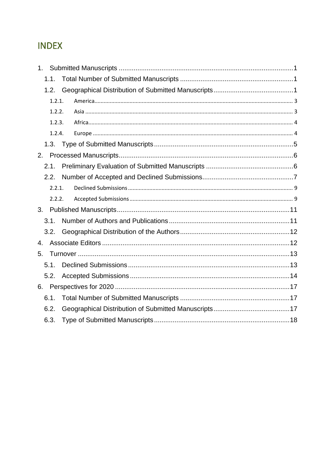# **INDEX**

| 1.1.   |  |  |
|--------|--|--|
| 1.2.   |  |  |
| 1.2.1. |  |  |
| 1.2.2. |  |  |
| 1.2.3. |  |  |
| 1.2.4. |  |  |
|        |  |  |
| 2.     |  |  |
| 2.1.   |  |  |
| 2.2.   |  |  |
| 2.2.1. |  |  |
| 2.2.2. |  |  |
| 3.     |  |  |
| 3.1.   |  |  |
| 3.2.   |  |  |
| 4.     |  |  |
| 5.     |  |  |
| 5.1.   |  |  |
| 5.2.   |  |  |
|        |  |  |
| 6.1.   |  |  |
| 6.2.   |  |  |
| 6.3.   |  |  |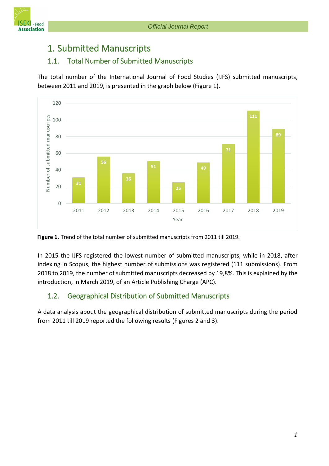

# <span id="page-3-0"></span>1. Submitted Manuscripts

# <span id="page-3-1"></span>1.1. Total Number of Submitted Manuscripts

The total number of the International Journal of Food Studies (IJFS) submitted manuscripts, between 2011 and 2019, is presented in the graph below (Figure 1).





In 2015 the IJFS registered the lowest number of submitted manuscripts, while in 2018, after indexing in Scopus, the highest number of submissions was registered (111 submissions). From 2018 to 2019, the number of submitted manuscripts decreased by 19,8%. This is explained by the introduction, in March 2019, of an Article Publishing Charge (APC).

# <span id="page-3-2"></span>1.2. Geographical Distribution of Submitted Manuscripts

A data analysis about the geographical distribution of submitted manuscripts during the period from 2011 till 2019 reported the following results (Figures 2 and 3).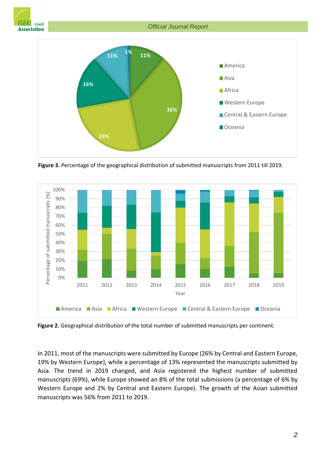



**Figure 3.** Percentage of the geographical distribution of submitted manuscripts from 2011 till 2019.



**Figure 2.** Geographical distribution of the total number of submitted manuscripts per continent.

In 2011, most of the manuscripts were submitted by Europe (26% by Central and Eastern Europe, 19% by Western Europe), while a percentage of 13% represented the manuscripts submitted by Asia. The trend in 2019 changed, and Asia registered the highest number of submitted manuscripts (69%), while Europe showed an 8% of the total submissions (a percentage of 6% by Western Europe and 2% by Central and Eastern Europe). The growth of the Asian submitted manuscripts was 56% from 2011 to 2019.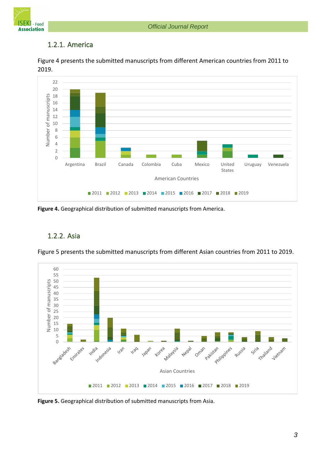

# <span id="page-5-0"></span>1.2.1. America





**Figure 4.** Geographical distribution of submitted manuscripts from America.

# <span id="page-5-1"></span>1.2.2. Asia

Figure 5 presents the submitted manuscripts from different Asian countries from 2011 to 2019.



**Figure 5.** Geographical distribution of submitted manuscripts from Asia.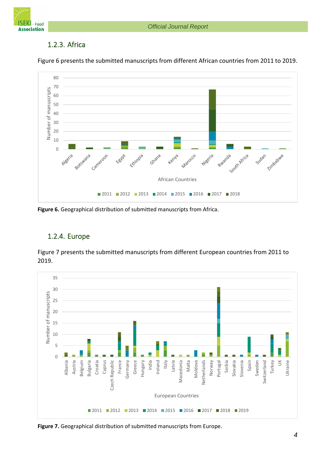*Official Journal Report*



# <span id="page-6-0"></span>1.2.3. Africa



Figure 6 presents the submitted manuscripts from different African countries from 2011 to 2019.

**Figure 6.** Geographical distribution of submitted manuscripts from Africa.



# <span id="page-6-1"></span>1.2.4. Europe

Figure 7 presents the submitted manuscripts from different European countries from 2011 to 2019.

**Figure 7.** Geographical distribution of submitted manuscripts from Europe.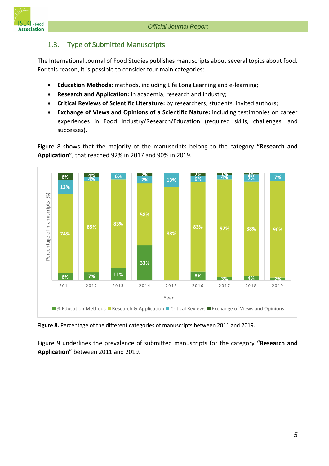

# <span id="page-7-0"></span>1.3. Type of Submitted Manuscripts

The International Journal of Food Studies publishes manuscripts about several topics about food. For this reason, it is possible to consider four main categories:

- **Education Methods:** methods, including Life Long Learning and e-learning;
- **Research and Application:** in academia, research and industry;
- **Critical Reviews of Scientific Literature:** by researchers, students, invited authors;
- **Exchange of Views and Opinions of a Scientific Nature:** including testimonies on career experiences in Food Industry/Research/Education (required skills, challenges, and successes).

Figure 8 shows that the majority of the manuscripts belong to the category **"Research and Application"**, that reached 92% in 2017 and 90% in 2019.



**Figure 8.** Percentage of the different categories of manuscripts between 2011 and 2019.

Figure 9 underlines the prevalence of submitted manuscripts for the category **"Research and Application"** between 2011 and 2019.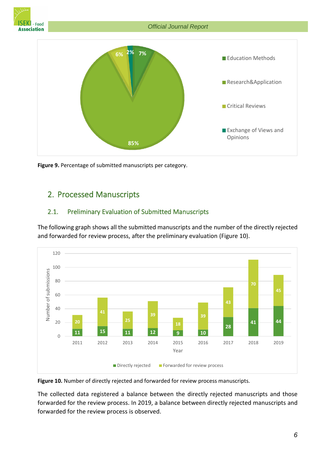



**Figure 9.** Percentage of submitted manuscripts per category.

# <span id="page-8-0"></span>2. Processed Manuscripts

#### <span id="page-8-1"></span>2.1. Preliminary Evaluation of Submitted Manuscripts

The following graph shows all the submitted manuscripts and the number of the directly rejected and forwarded for review process, after the preliminary evaluation (Figure 10).



**Figure 10.** Number of directly rejected and forwarded for review process manuscripts.

The collected data registered a balance between the directly rejected manuscripts and those forwarded for the review process. In 2019, a balance between directly rejected manuscripts and forwarded for the review process is observed.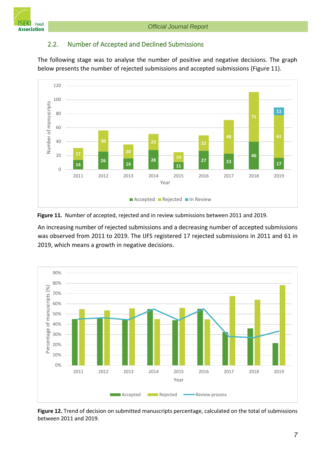

#### <span id="page-9-0"></span>2.2. Number of Accepted and Declined Submissions

The following stage was to analyse the number of positive and negative decisions. The graph below presents the number of rejected submissions and accepted submissions (Figure 11).





An increasing number of rejected submissions and a decreasing number of accepted submissions was observed from 2011 to 2019. The IJFS registered 17 rejected submissions in 2011 and 61 in 2019, which means a growth in negative decisions.



**Figure 12.** Trend of decision on submitted manuscripts percentage, calculated on the total of submissions between 2011 and 2019.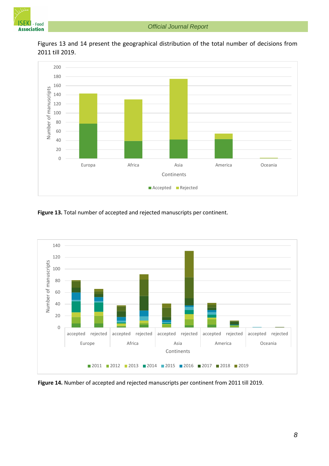



Figures 13 and 14 present the geographical distribution of the total number of decisions from 2011 till 2019.

**Figure 13.** Total number of accepted and rejected manuscripts per continent.



**Figure 14.** Number of accepted and rejected manuscripts per continent from 2011 till 2019.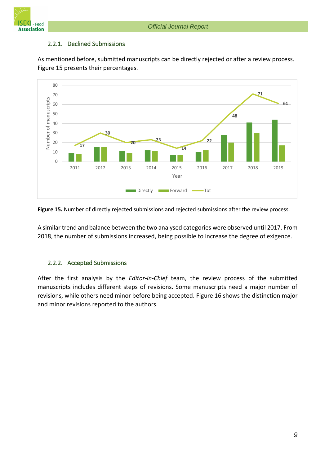

#### <span id="page-11-0"></span>2.2.1. Declined Submissions





**Figure 15.** Number of directly rejected submissions and rejected submissions after the review process.

A similar trend and balance between the two analysed categories were observed until 2017. From 2018, the number of submissions increased, being possible to increase the degree of exigence.

#### <span id="page-11-1"></span>2.2.2. Accepted Submissions

After the first analysis by the *Editor-in-Chief* team, the review process of the submitted manuscripts includes different steps of revisions. Some manuscripts need a major number of revisions, while others need minor before being accepted. Figure 16 shows the distinction major and minor revisions reported to the authors.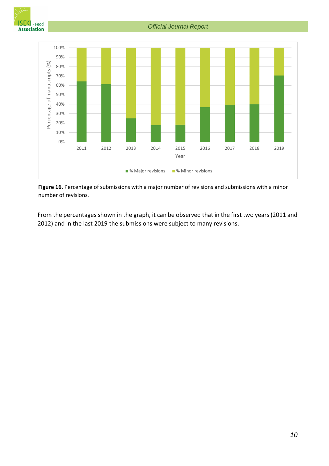



**Figure 16.** Percentage of submissions with a major number of revisions and submissions with a minor number of revisions.

From the percentages shown in the graph, it can be observed that in the first two years (2011 and 2012) and in the last 2019 the submissions were subject to many revisions.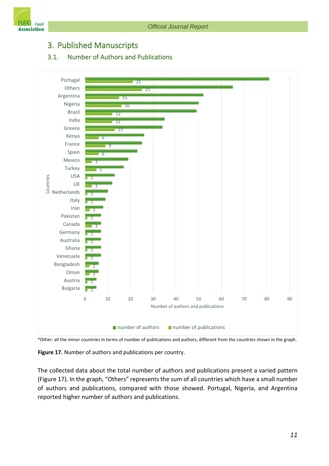

# <span id="page-13-0"></span>3. Published Manuscripts

#### <span id="page-13-1"></span>3.1. Number of Authors and Publications



\*Other: all the minor countries in terms of number of publications and authors, different from the countries shown in the graph.

**Figure 17.** Number of authors and publications per country.

The collected data about the total number of authors and publications present a varied pattern (Figure 17). In the graph, "Others" represents the sum of all countries which have a small number of authors and publications, compared with those showed. Portugal, Nigeria, and Argentina reported higher number of authors and publications.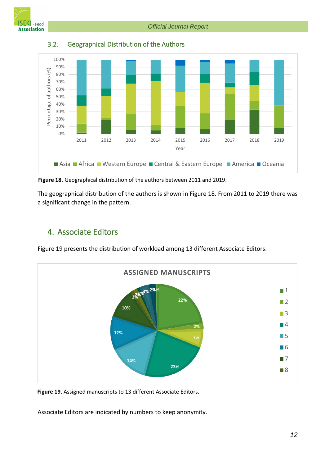*Official Journal Report*



<span id="page-14-0"></span>

3.2. Geographical Distribution of the Authors

**Figure 18.** Geographical distribution of the authors between 2011 and 2019.

The geographical distribution of the authors is shown in Figure 18. From 2011 to 2019 there was a significant change in the pattern.

# <span id="page-14-1"></span>4. Associate Editors

Figure 19 presents the distribution of workload among 13 different Associate Editors.



**Figure 19.** Assigned manuscripts to 13 different Associate Editors.

Associate Editors are indicated by numbers to keep anonymity.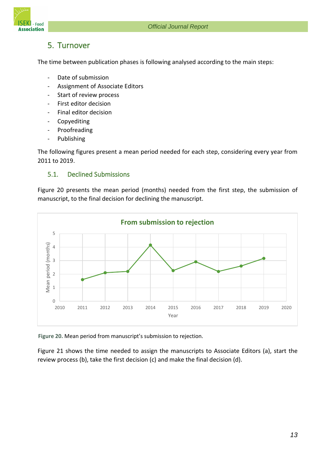

# <span id="page-15-0"></span>5. Turnover

The time between publication phases is following analysed according to the main steps:

- Date of submission
- Assignment of Associate Editors
- Start of review process
- First editor decision
- Final editor decision
- **Copyediting**
- Proofreading
- Publishing

The following figures present a mean period needed for each step, considering every year from 2011 to 2019.

#### <span id="page-15-1"></span>5.1. Declined Submissions

Figure 20 presents the mean period (months) needed from the first step, the submission of manuscript, to the final decision for declining the manuscript.



**Figure 20.** Mean period from manuscript's submission to rejection.

Figure 21 shows the time needed to assign the manuscripts to Associate Editors (a), start the review process (b), take the first decision (c) and make the final decision (d).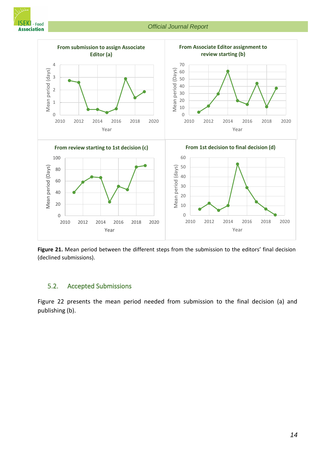



**Figure 21.** Mean period between the different steps from the submission to the editors' final decision (declined submissions).

#### <span id="page-16-0"></span>5.2. Accepted Submissions

Figure 22 presents the mean period needed from submission to the final decision (a) and publishing (b).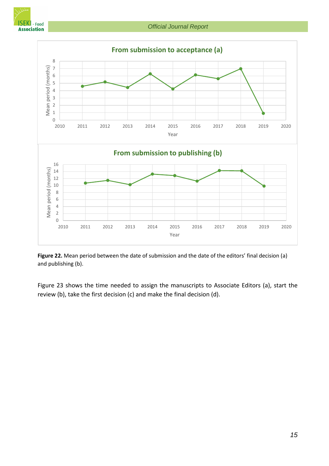

*Official Journal Report*



**Figure 22.** Mean period between the date of submission and the date of the editors' final decision (a) and publishing (b).

Figure 23 shows the time needed to assign the manuscripts to Associate Editors (a), start the review (b), take the first decision (c) and make the final decision (d).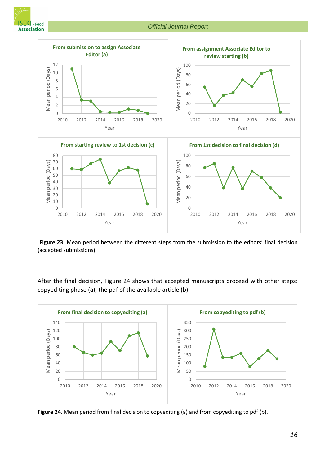



**Figure 23.** Mean period between the different steps from the submission to the editors' final decision (accepted submissions).

After the final decision, Figure 24 shows that accepted manuscripts proceed with other steps: copyediting phase (a), the pdf of the available article (b).



**Figure 24.** Mean period from final decision to copyediting (a) and from copyediting to pdf (b).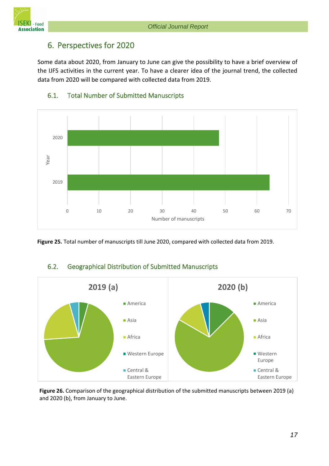

# <span id="page-19-0"></span>6. Perspectives for 2020

Some data about 2020, from January to June can give the possibility to have a brief overview of the IJFS activities in the current year. To have a clearer idea of the journal trend, the collected data from 2020 will be compared with collected data from 2019.



# <span id="page-19-1"></span>6.1. Total Number of Submitted Manuscripts

**Figure 25.** Total number of manuscripts till June 2020, compared with collected data from 2019.

# <span id="page-19-2"></span>6.2. Geographical Distribution of Submitted Manuscripts



**Figure 26.** Comparison of the geographical distribution of the submitted manuscripts between 2019 (a) and 2020 (b), from January to June.